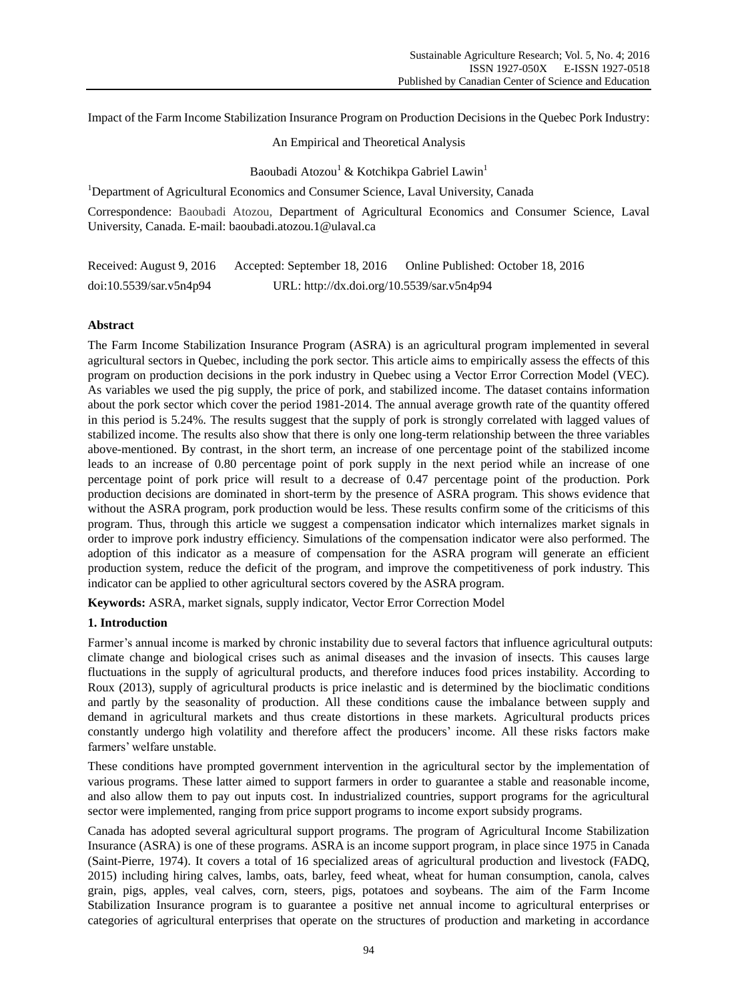Impact of the Farm Income Stabilization Insurance Program on Production Decisions in the Quebec Pork Industry:

An Empirical and Theoretical Analysis

Baoubadi Atozou<sup>1</sup> & Kotchikpa Gabriel Lawin<sup>1</sup>

<sup>1</sup>Department of Agricultural Economics and Consumer Science, Laval University, Canada

Correspondence: Baoubadi Atozou, Department of Agricultural Economics and Consumer Science, Laval University, Canada. E-mail: baoubadi.atozou.1@ulaval.ca

| Received: August 9, 2016 | Accepted: September 18, 2016               | Online Published: October 18, 2016 |
|--------------------------|--------------------------------------------|------------------------------------|
| doi:10.5539/sar.v5n4p94  | URL: http://dx.doi.org/10.5539/sar.v5n4p94 |                                    |

### **Abstract**

The Farm Income Stabilization Insurance Program (ASRA) is an agricultural program implemented in several agricultural sectors in Quebec, including the pork sector. This article aims to empirically assess the effects of this program on production decisions in the pork industry in Quebec using a Vector Error Correction Model (VEC). As variables we used the pig supply, the price of pork, and stabilized income. The dataset contains information about the pork sector which cover the period 1981-2014. The annual average growth rate of the quantity offered in this period is 5.24%. The results suggest that the supply of pork is strongly correlated with lagged values of stabilized income. The results also show that there is only one long-term relationship between the three variables above-mentioned. By contrast, in the short term, an increase of one percentage point of the stabilized income leads to an increase of 0.80 percentage point of pork supply in the next period while an increase of one percentage point of pork price will result to a decrease of 0.47 percentage point of the production. Pork production decisions are dominated in short-term by the presence of ASRA program. This shows evidence that without the ASRA program, pork production would be less. These results confirm some of the criticisms of this program. Thus, through this article we suggest a compensation indicator which internalizes market signals in order to improve pork industry efficiency. Simulations of the compensation indicator were also performed. The adoption of this indicator as a measure of compensation for the ASRA program will generate an efficient production system, reduce the deficit of the program, and improve the competitiveness of pork industry. This indicator can be applied to other agricultural sectors covered by the ASRA program.

**Keywords:** ASRA, market signals, supply indicator, Vector Error Correction Model

### **1. Introduction**

Farmer's annual income is marked by chronic instability due to several factors that influence agricultural outputs: climate change and biological crises such as animal diseases and the invasion of insects. This causes large fluctuations in the supply of agricultural products, and therefore induces food prices instability. According to Roux (2013), supply of agricultural products is price inelastic and is determined by the bioclimatic conditions and partly by the seasonality of production. All these conditions cause the imbalance between supply and demand in agricultural markets and thus create distortions in these markets. Agricultural products prices constantly undergo high volatility and therefore affect the producers' income. All these risks factors make farmers' welfare unstable.

These conditions have prompted government intervention in the agricultural sector by the implementation of various programs. These latter aimed to support farmers in order to guarantee a stable and reasonable income, and also allow them to pay out inputs cost. In industrialized countries, support programs for the agricultural sector were implemented, ranging from price support programs to income export subsidy programs.

Canada has adopted several agricultural support programs. The program of Agricultural Income Stabilization Insurance (ASRA) is one of these programs. ASRA is an income support program, in place since 1975 in Canada (Saint-Pierre, 1974). It covers a total of 16 specialized areas of agricultural production and livestock (FADQ, 2015) including hiring calves, lambs, oats, barley, feed wheat, wheat for human consumption, canola, calves grain, pigs, apples, veal calves, corn, steers, pigs, potatoes and soybeans. The aim of the Farm Income Stabilization Insurance program is to guarantee a positive net annual income to agricultural enterprises or categories of agricultural enterprises that operate on the structures of production and marketing in accordance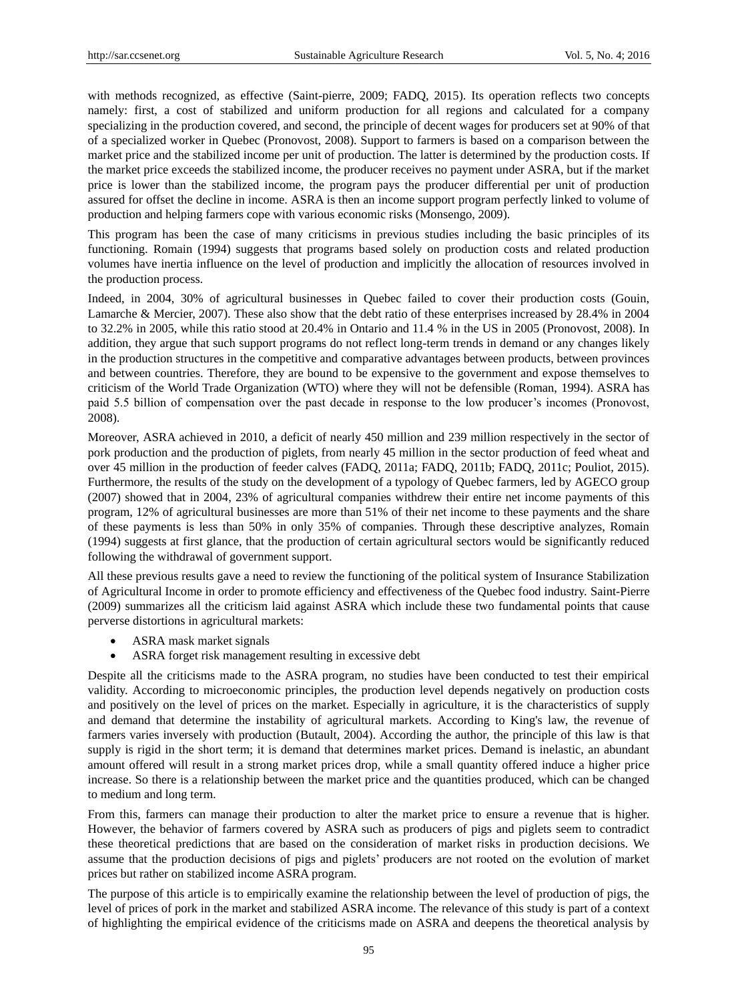with methods recognized, as effective (Saint-pierre, 2009; FADQ, 2015). Its operation reflects two concepts namely: first, a cost of stabilized and uniform production for all regions and calculated for a company specializing in the production covered, and second, the principle of decent wages for producers set at 90% of that of a specialized worker in Quebec (Pronovost, 2008). Support to farmers is based on a comparison between the market price and the stabilized income per unit of production. The latter is determined by the production costs. If the market price exceeds the stabilized income, the producer receives no payment under ASRA, but if the market price is lower than the stabilized income, the program pays the producer differential per unit of production assured for offset the decline in income. ASRA is then an income support program perfectly linked to volume of production and helping farmers cope with various economic risks (Monsengo, 2009).

This program has been the case of many criticisms in previous studies including the basic principles of its functioning. Romain (1994) suggests that programs based solely on production costs and related production volumes have inertia influence on the level of production and implicitly the allocation of resources involved in the production process.

Indeed, in 2004, 30% of agricultural businesses in Quebec failed to cover their production costs (Gouin, Lamarche & Mercier, 2007). These also show that the debt ratio of these enterprises increased by 28.4% in 2004 to 32.2% in 2005, while this ratio stood at 20.4% in Ontario and 11.4 % in the US in 2005 (Pronovost, 2008). In addition, they argue that such support programs do not reflect long-term trends in demand or any changes likely in the production structures in the competitive and comparative advantages between products, between provinces and between countries. Therefore, they are bound to be expensive to the government and expose themselves to criticism of the World Trade Organization (WTO) where they will not be defensible (Roman, 1994). ASRA has paid 5.5 billion of compensation over the past decade in response to the low producer's incomes (Pronovost, 2008).

Moreover, ASRA achieved in 2010, a deficit of nearly 450 million and 239 million respectively in the sector of pork production and the production of piglets, from nearly 45 million in the sector production of feed wheat and over 45 million in the production of feeder calves (FADQ, 2011a; FADQ, 2011b; FADQ, 2011c; Pouliot, 2015). Furthermore, the results of the study on the development of a typology of Quebec farmers, led by AGECO group (2007) showed that in 2004, 23% of agricultural companies withdrew their entire net income payments of this program, 12% of agricultural businesses are more than 51% of their net income to these payments and the share of these payments is less than 50% in only 35% of companies. Through these descriptive analyzes, Romain (1994) suggests at first glance, that the production of certain agricultural sectors would be significantly reduced following the withdrawal of government support.

All these previous results gave a need to review the functioning of the political system of Insurance Stabilization of Agricultural Income in order to promote efficiency and effectiveness of the Quebec food industry. Saint-Pierre (2009) summarizes all the criticism laid against ASRA which include these two fundamental points that cause perverse distortions in agricultural markets:

- ASRA mask market signals
- ASRA forget risk management resulting in excessive debt

Despite all the criticisms made to the ASRA program, no studies have been conducted to test their empirical validity. According to microeconomic principles, the production level depends negatively on production costs and positively on the level of prices on the market. Especially in agriculture, it is the characteristics of supply and demand that determine the instability of agricultural markets. According to King's law, the revenue of farmers varies inversely with production (Butault, 2004). According the author, the principle of this law is that supply is rigid in the short term; it is demand that determines market prices. Demand is inelastic, an abundant amount offered will result in a strong market prices drop, while a small quantity offered induce a higher price increase. So there is a relationship between the market price and the quantities produced, which can be changed to medium and long term.

From this, farmers can manage their production to alter the market price to ensure a revenue that is higher. However, the behavior of farmers covered by ASRA such as producers of pigs and piglets seem to contradict these theoretical predictions that are based on the consideration of market risks in production decisions. We assume that the production decisions of pigs and piglets' producers are not rooted on the evolution of market prices but rather on stabilized income ASRA program.

The purpose of this article is to empirically examine the relationship between the level of production of pigs, the level of prices of pork in the market and stabilized ASRA income. The relevance of this study is part of a context of highlighting the empirical evidence of the criticisms made on ASRA and deepens the theoretical analysis by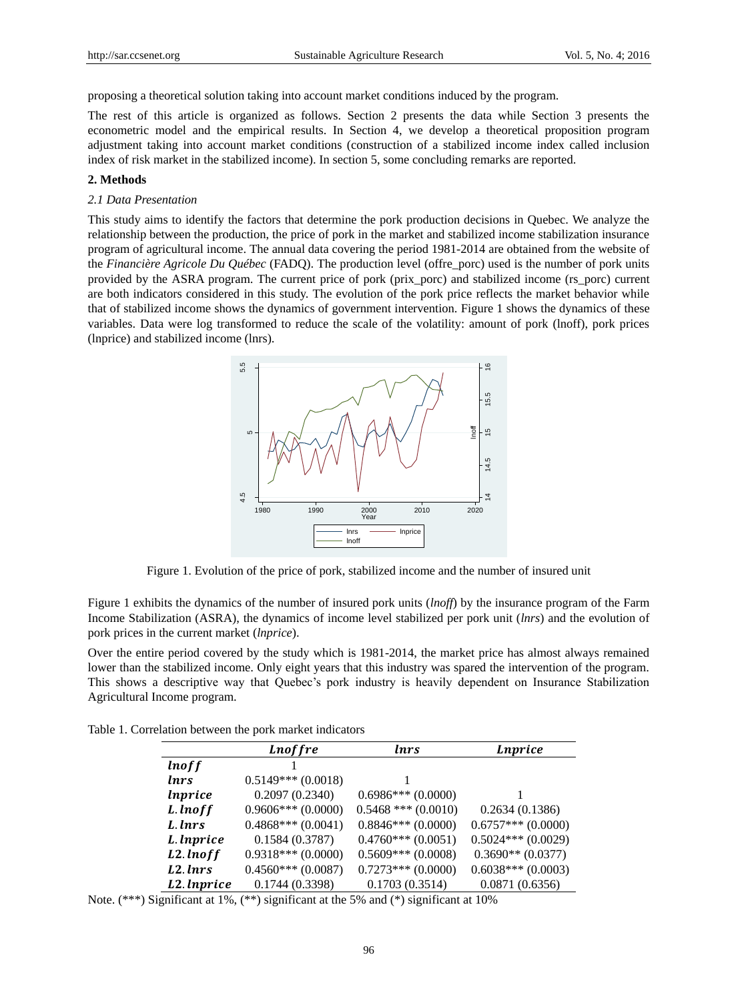proposing a theoretical solution taking into account market conditions induced by the program.

The rest of this article is organized as follows. Section 2 presents the data while Section 3 presents the econometric model and the empirical results. In Section 4, we develop a theoretical proposition program adjustment taking into account market conditions (construction of a stabilized income index called inclusion index of risk market in the stabilized income). In section 5, some concluding remarks are reported.

### **2. Methods**

#### *2.1 Data Presentation*

This study aims to identify the factors that determine the pork production decisions in Quebec. We analyze the relationship between the production, the price of pork in the market and stabilized income stabilization insurance program of agricultural income. The annual data covering the period 1981-2014 are obtained from the website of the *Financière Agricole Du Québec* (FADQ). The production level (offre\_porc) used is the number of pork units provided by the ASRA program. The current price of pork (prix\_porc) and stabilized income (rs\_porc) current are both indicators considered in this study. The evolution of the pork price reflects the market behavior while that of stabilized income shows the dynamics of government intervention. Figure 1 shows the dynamics of these variables. Data were log transformed to reduce the scale of the volatility: amount of pork (lnoff), pork prices (lnprice) and stabilized income (lnrs).



Figure 1. Evolution of the price of pork, stabilized income and the number of insured unit

Figure 1 exhibits the dynamics of the number of insured pork units (*lnoff*) by the insurance program of the Farm Income Stabilization (ASRA), the dynamics of income level stabilized per pork unit (*lnrs*) and the evolution of pork prices in the current market (*lnprice*).

Over the entire period covered by the study which is 1981-2014, the market price has almost always remained lower than the stabilized income. Only eight years that this industry was spared the intervention of the program. This shows a descriptive way that Quebec's pork industry is heavily dependent on Insurance Stabilization Agricultural Income program.

| Table 1. Correlation between the pork market indicators |  |  |
|---------------------------------------------------------|--|--|
|---------------------------------------------------------|--|--|

|                                 | <b>Lnoffre</b>      | lnrs                    | Lnprice             |
|---------------------------------|---------------------|-------------------------|---------------------|
| <i>lnoff</i>                    |                     |                         |                     |
| lnrs                            | $0.5149***(0.0018)$ |                         |                     |
| <i>lnprice</i>                  | 0.2097(0.2340)      | $0.6986***(0.0000)$     |                     |
| L. Inoff                        | $0.9606***(0.0000)$ | $0.5468$ *** $(0.0010)$ | 0.2634(0.1386)      |
| L. lnrs                         | $0.4868***(0.0041)$ | $0.8846***(0.0000)$     | $0.6757***(0.0000)$ |
| L. <i>Inprice</i>               | 0.1584(0.3787)      | $0.4760***(0.0051)$     | $0.5024***(0.0029)$ |
| $L2.$ lnoff                     | $0.9318***(0.0000)$ | $0.5609***$ (0.0008)    | $0.3690**$ (0.0377) |
| L <sub>2</sub> . lnrs           | $0.4560***(0.0087)$ | $0.7273***(0.0000)$     | $0.6038***(0.0003)$ |
| L <sub>2</sub> . <i>lnprice</i> | 0.1744(0.3398)      | 0.1703(0.3514)          | 0.0871(0.6356)      |

Note. (\*\*\*) Significant at 1%, (\*\*) significant at the 5% and (\*) significant at 10%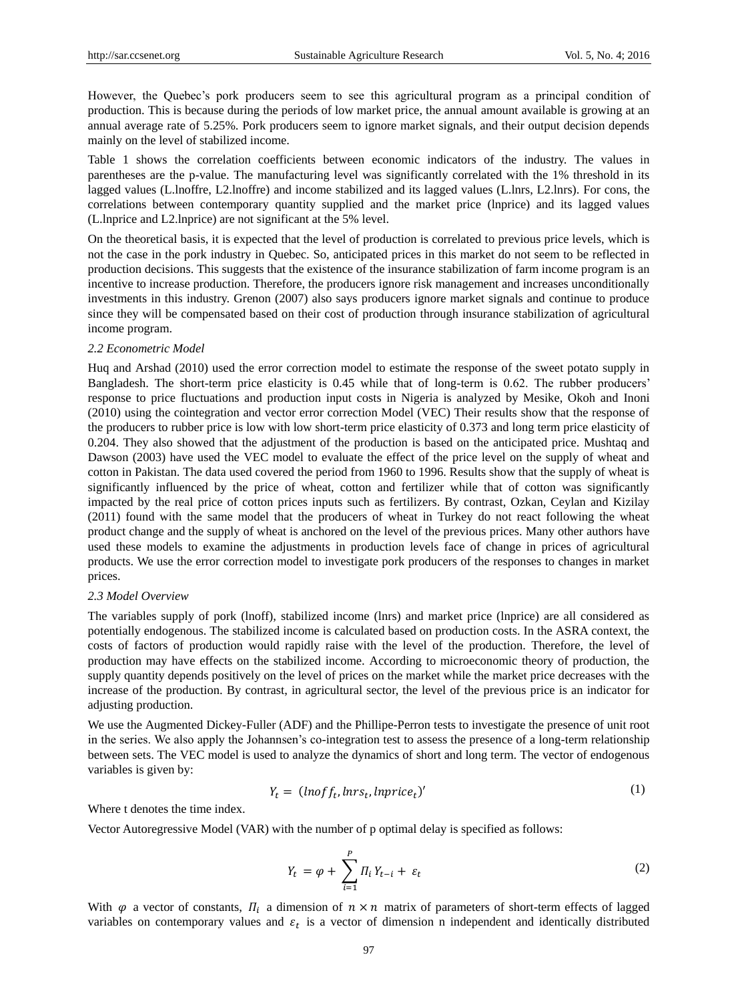However, the Quebec's pork producers seem to see this agricultural program as a principal condition of production. This is because during the periods of low market price, the annual amount available is growing at an annual average rate of 5.25%. Pork producers seem to ignore market signals, and their output decision depends mainly on the level of stabilized income.

Table 1 shows the correlation coefficients between economic indicators of the industry. The values in parentheses are the p-value. The manufacturing level was significantly correlated with the 1% threshold in its lagged values (L.lnoffre, L2.lnoffre) and income stabilized and its lagged values (L.lnrs, L2.lnrs). For cons, the correlations between contemporary quantity supplied and the market price (lnprice) and its lagged values (L.lnprice and L2.lnprice) are not significant at the 5% level.

On the theoretical basis, it is expected that the level of production is correlated to previous price levels, which is not the case in the pork industry in Quebec. So, anticipated prices in this market do not seem to be reflected in production decisions. This suggests that the existence of the insurance stabilization of farm income program is an incentive to increase production. Therefore, the producers ignore risk management and increases unconditionally investments in this industry. Grenon (2007) also says producers ignore market signals and continue to produce since they will be compensated based on their cost of production through insurance stabilization of agricultural income program.

### *2.2 Econometric Model*

Huq and Arshad (2010) used the error correction model to estimate the response of the sweet potato supply in Bangladesh. The short-term price elasticity is 0.45 while that of long-term is 0.62. The rubber producers' response to price fluctuations and production input costs in Nigeria is analyzed by Mesike, Okoh and Inoni (2010) using the cointegration and vector error correction Model (VEC) Their results show that the response of the producers to rubber price is low with low short-term price elasticity of 0.373 and long term price elasticity of 0.204. They also showed that the adjustment of the production is based on the anticipated price. Mushtaq and Dawson (2003) have used the VEC model to evaluate the effect of the price level on the supply of wheat and cotton in Pakistan. The data used covered the period from 1960 to 1996. Results show that the supply of wheat is significantly influenced by the price of wheat, cotton and fertilizer while that of cotton was significantly impacted by the real price of cotton prices inputs such as fertilizers. By contrast, Ozkan, Ceylan and Kizilay (2011) found with the same model that the producers of wheat in Turkey do not react following the wheat product change and the supply of wheat is anchored on the level of the previous prices. Many other authors have used these models to examine the adjustments in production levels face of change in prices of agricultural products. We use the error correction model to investigate pork producers of the responses to changes in market prices.

### *2.3 Model Overview*

The variables supply of pork (lnoff), stabilized income (lnrs) and market price (lnprice) are all considered as potentially endogenous. The stabilized income is calculated based on production costs. In the ASRA context, the costs of factors of production would rapidly raise with the level of the production. Therefore, the level of production may have effects on the stabilized income. According to microeconomic theory of production, the supply quantity depends positively on the level of prices on the market while the market price decreases with the increase of the production. By contrast, in agricultural sector, the level of the previous price is an indicator for adjusting production.

We use the Augmented Dickey-Fuller (ADF) and the Phillipe-Perron tests to investigate the presence of unit root in the series. We also apply the Johannsen's co-integration test to assess the presence of a long-term relationship between sets. The VEC model is used to analyze the dynamics of short and long term. The vector of endogenous variables is given by:

$$
Y_t = (lnoff_t, lnrs_t, lnprice_t)'
$$
\n(1)

Where t denotes the time index.

Vector Autoregressive Model (VAR) with the number of p optimal delay is specified as follows:

$$
Y_t = \varphi + \sum_{i=1}^P \Pi_i Y_{t-i} + \varepsilon_t \tag{2}
$$

With  $\varphi$  a vector of constants,  $\Pi_i$  a dimension of  $n \times n$  matrix of parameters of short-term effects of lagged variables on contemporary values and  $\varepsilon_t$  is a vector of dimension n independent and identically distributed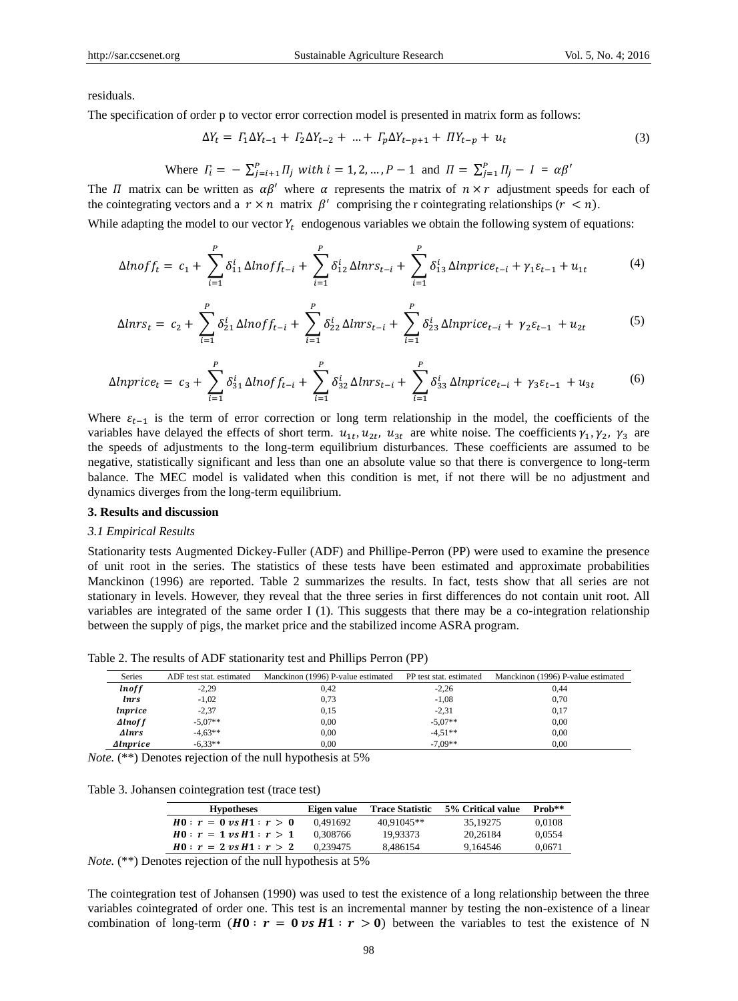residuals.

The specification of order p to vector error correction model is presented in matrix form as follows:

$$
\Delta Y_t = \Gamma_1 \Delta Y_{t-1} + \Gamma_2 \Delta Y_{t-2} + \dots + \Gamma_p \Delta Y_{t-p+1} + \Pi Y_{t-p} + u_t \tag{3}
$$

Where 
$$
\Gamma_i = -\sum_{j=i+1}^{P} \Pi_j
$$
 with  $i = 1, 2, ..., P-1$  and  $\Pi = \sum_{j=1}^{P} \Pi_j - I = \alpha \beta'$ 

The *II* matrix can be written as  $\alpha\beta'$  where  $\alpha$  represents the matrix of  $n \times r$  adjustment speeds for each of the cointegrating vectors and a  $r \times n$  matrix  $\beta'$  comprising the r cointegrating relationships  $(r < n)$ .

While adapting the model to our vector  $Y_t$  endogenous variables we obtain the following system of equations:

$$
\Delta lnoff_t = c_1 + \sum_{i=1}^P \delta_{11}^i \Delta lnoff_{t-i} + \sum_{i=1}^P \delta_{12}^i \Delta lnr s_{t-i} + \sum_{i=1}^P \delta_{13}^i \Delta lnprice_{t-i} + \gamma_1 \varepsilon_{t-1} + u_{1t} \tag{4}
$$

$$
\Delta l n r s_t = c_2 + \sum_{i=1}^P \delta_{21}^i \Delta l n o f f_{t-i} + \sum_{i=1}^P \delta_{22}^i \Delta l n r s_{t-i} + \sum_{i=1}^P \delta_{23}^i \Delta l n pr i c e_{t-i} + \gamma_2 \varepsilon_{t-1} + u_{2t} \tag{5}
$$

$$
\Delta lnprice_t = c_3 + \sum_{i=1}^P \delta_{31}^i \Delta lnoff_{t-i} + \sum_{i=1}^P \delta_{32}^i \Delta lnrs_{t-i} + \sum_{i=1}^P \delta_{33}^i \Delta lnprice_{t-i} + \gamma_3 \varepsilon_{t-1} + u_{3t} \tag{6}
$$

Where  $\varepsilon_{t-1}$  is the term of error correction or long term relationship in the model, the coefficients of the variables have delayed the effects of short term.  $u_{1t}$ ,  $u_{2t}$ ,  $u_{3t}$  are white noise. The coefficients  $\gamma_1$ ,  $\gamma_2$ ,  $\gamma_3$  are the speeds of adjustments to the long-term equilibrium disturbances. These coefficients are assumed to be negative, statistically significant and less than one an absolute value so that there is convergence to long-term balance. The MEC model is validated when this condition is met, if not there will be no adjustment and dynamics diverges from the long-term equilibrium.

#### **3. Results and discussion**

### *3.1 Empirical Results*

Stationarity tests Augmented Dickey-Fuller (ADF) and Phillipe-Perron (PP) were used to examine the presence of unit root in the series. The statistics of these tests have been estimated and approximate probabilities Manckinon (1996) are reported. Table 2 summarizes the results. In fact, tests show that all series are not stationary in levels. However, they reveal that the three series in first differences do not contain unit root. All variables are integrated of the same order I (1). This suggests that there may be a co-integration relationship between the supply of pigs, the market price and the stabilized income ASRA program.

Table 2. The results of ADF stationarity test and Phillips Perron (PP)

| Series          | ADF test stat, estimated | Manckinon (1996) P-value estimated | PP test stat, estimated | Manckinon (1996) P-value estimated |
|-----------------|--------------------------|------------------------------------|-------------------------|------------------------------------|
| lnoff           | $-2,29$                  | 0,42                               | $-2.26$                 | 0.44                               |
| <i>lnrs</i>     | $-1.02$                  | 0.73                               | $-1.08$                 | 0,70                               |
| <i>Inprice</i>  | $-2.37$                  | 0,15                               | $-2.31$                 | 0,17                               |
| <b>Alnoff</b>   | $-5.07**$                | 0,00                               | $-5.07**$               | 0,00                               |
| <b>Alnrs</b>    | $-4.63**$                | 0,00                               | $-4.51**$               | 0.00                               |
| <b>Alnprice</b> | $-6.33**$                | 0.00                               | $-7.09**$               | 0.00                               |

*Note.* (\*\*) Denotes rejection of the null hypothesis at 5%

Table 3. Johansen cointegration test (trace test)

| <b>Hypotheses</b>                 | Eigen value | <b>Trace Statistic</b> | 5% Critical value | Prob** |
|-----------------------------------|-------------|------------------------|-------------------|--------|
| $H0: r = 0 \text{ vs } H1: r > 0$ | 0.491692    | $40.91045**$           | 35.19275          | 0.0108 |
| $H0: r = 1 \nu s H1: r > 1$       | 0.308766    | 19.93373               | 20.26184          | 0.0554 |
| $H0: r = 2 \nu s H1: r > 2$       | 0.239475    | 8.486154               | 9.164546          | 0,0671 |

*Note.* (\*\*) Denotes rejection of the null hypothesis at 5%

The cointegration test of Johansen (1990) was used to test the existence of a long relationship between the three variables cointegrated of order one. This test is an incremental manner by testing the non-existence of a linear combination of long-term ( $H0: r = 0 \nu s H1: r > 0$ ) between the variables to test the existence of N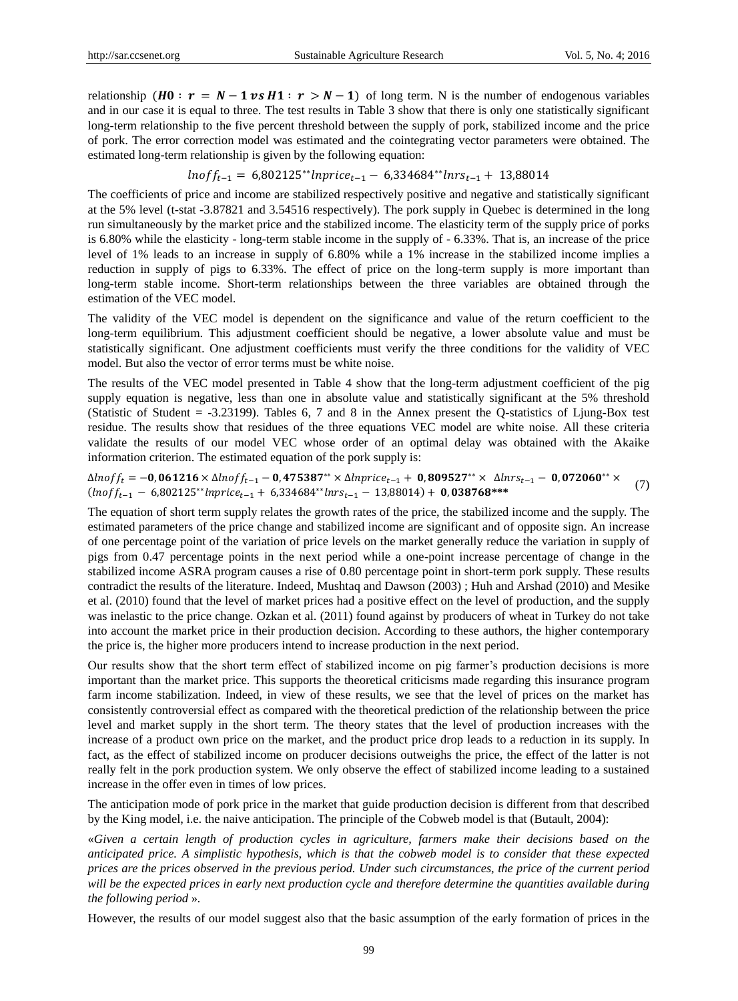relationship ( $H0: r = N - 1$  vs  $H1: r > N - 1$ ) of long term. N is the number of endogenous variables and in our case it is equal to three. The test results in Table 3 show that there is only one statistically significant long-term relationship to the five percent threshold between the supply of pork, stabilized income and the price of pork. The error correction model was estimated and the cointegrating vector parameters were obtained. The estimated long-term relationship is given by the following equation:

### $ln off_{t-1} = 6,802125**$ lnprice<sub>t-1</sub> – 6,334684<sup>\*\*</sup>lnrs<sub>t-1</sub> + 13,88014

The coefficients of price and income are stabilized respectively positive and negative and statistically significant at the 5% level (t-stat -3.87821 and 3.54516 respectively). The pork supply in Quebec is determined in the long run simultaneously by the market price and the stabilized income. The elasticity term of the supply price of porks is 6.80% while the elasticity - long-term stable income in the supply of - 6.33%. That is, an increase of the price level of 1% leads to an increase in supply of 6.80% while a 1% increase in the stabilized income implies a reduction in supply of pigs to 6.33%. The effect of price on the long-term supply is more important than long-term stable income. Short-term relationships between the three variables are obtained through the estimation of the VEC model.

The validity of the VEC model is dependent on the significance and value of the return coefficient to the long-term equilibrium. This adjustment coefficient should be negative, a lower absolute value and must be statistically significant. One adjustment coefficients must verify the three conditions for the validity of VEC model. But also the vector of error terms must be white noise.

The results of the VEC model presented in Table 4 show that the long-term adjustment coefficient of the pig supply equation is negative, less than one in absolute value and statistically significant at the 5% threshold (Statistic of Student = -3.23199). Tables 6, 7 and 8 in the Annex present the Q-statistics of Ljung-Box test residue. The results show that residues of the three equations VEC model are white noise. All these criteria validate the results of our model VEC whose order of an optimal delay was obtained with the Akaike information criterion. The estimated equation of the pork supply is:

 $\Delta lnoff_t = -0.061216 \times \Delta lnoff_{t-1} - 0.475387^{**} \times \Delta lnprice_{t-1} + 0.809527^{**} \times \Delta lnrs_{t-1} - 0.072060^{**} \times$  $($ lnoff<sub>t-1</sub> – 6,802125<sup>\*</sup> lnprice<sub>t-1</sub> + 6,334684<sup>\*</sup> lnrs<sub>t-1</sub> – 13,88014) + **0,038768**\*\*\*

The equation of short term supply relates the growth rates of the price, the stabilized income and the supply. The estimated parameters of the price change and stabilized income are significant and of opposite sign. An increase of one percentage point of the variation of price levels on the market generally reduce the variation in supply of pigs from 0.47 percentage points in the next period while a one-point increase percentage of change in the stabilized income ASRA program causes a rise of 0.80 percentage point in short-term pork supply. These results contradict the results of the literature. Indeed, Mushtaq and Dawson (2003) ; Huh and Arshad (2010) and Mesike et al. (2010) found that the level of market prices had a positive effect on the level of production, and the supply was inelastic to the price change. Ozkan et al. (2011) found against by producers of wheat in Turkey do not take into account the market price in their production decision. According to these authors, the higher contemporary the price is, the higher more producers intend to increase production in the next period.

Our results show that the short term effect of stabilized income on pig farmer's production decisions is more important than the market price. This supports the theoretical criticisms made regarding this insurance program farm income stabilization. Indeed, in view of these results, we see that the level of prices on the market has consistently controversial effect as compared with the theoretical prediction of the relationship between the price level and market supply in the short term. The theory states that the level of production increases with the increase of a product own price on the market, and the product price drop leads to a reduction in its supply. In fact, as the effect of stabilized income on producer decisions outweighs the price, the effect of the latter is not really felt in the pork production system. We only observe the effect of stabilized income leading to a sustained increase in the offer even in times of low prices.

The anticipation mode of pork price in the market that guide production decision is different from that described by the King model, i.e. the naive anticipation. The principle of the Cobweb model is that (Butault, 2004):

«*Given a certain length of production cycles in agriculture, farmers make their decisions based on the anticipated price. A simplistic hypothesis, which is that the cobweb model is to consider that these expected prices are the prices observed in the previous period. Under such circumstances, the price of the current period will be the expected prices in early next production cycle and therefore determine the quantities available during the following period* »*.*

However, the results of our model suggest also that the basic assumption of the early formation of prices in the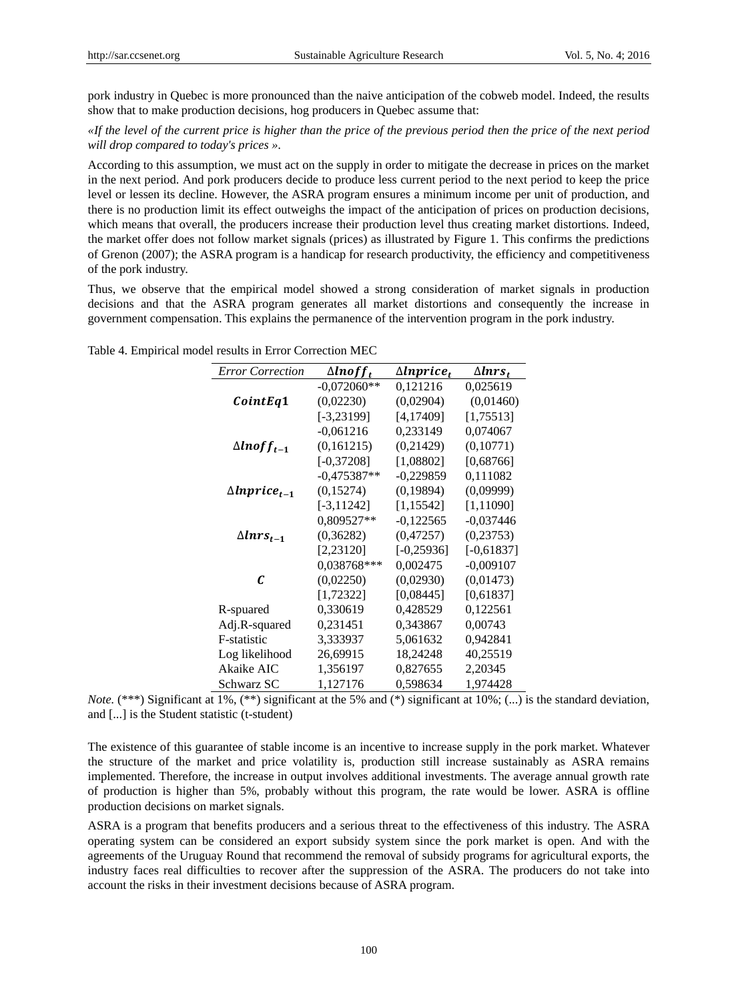pork industry in Quebec is more pronounced than the naive anticipation of the cobweb model. Indeed, the results show that to make production decisions, hog producers in Quebec assume that:

# *«If the level of the current price is higher than the price of the previous period then the price of the next period will drop compared to today's prices ».*

According to this assumption, we must act on the supply in order to mitigate the decrease in prices on the market in the next period. And pork producers decide to produce less current period to the next period to keep the price level or lessen its decline. However, the ASRA program ensures a minimum income per unit of production, and there is no production limit its effect outweighs the impact of the anticipation of prices on production decisions, which means that overall, the producers increase their production level thus creating market distortions. Indeed, the market offer does not follow market signals (prices) as illustrated by Figure 1. This confirms the predictions of Grenon (2007); the ASRA program is a handicap for research productivity, the efficiency and competitiveness of the pork industry.

Thus, we observe that the empirical model showed a strong consideration of market signals in production decisions and that the ASRA program generates all market distortions and consequently the increase in government compensation. This explains the permanence of the intervention program in the pork industry.

| <b>Error Correction</b>                | $\Delta$ lnoff <sub>t</sub> | $\Delta$ <i>lnprice</i> , | $\Delta l n r s_t$ |
|----------------------------------------|-----------------------------|---------------------------|--------------------|
|                                        | $-0.072060**$               | 0,121216                  | 0,025619           |
| CointEq1                               | (0,02230)                   | (0,02904)                 | (0,01460)          |
|                                        | $[-3,23199]$                | [4,17409]                 | [1,75513]          |
|                                        | $-0.061216$                 | 0,233149                  | 0,074067           |
| $\Delta$ lnoff <sub>t-1</sub>          | (0,161215)                  | (0,21429)                 | (0,10771)          |
|                                        | $[-0,37208]$                | [1,08802]                 | [0,68766]          |
|                                        | $-0.475387**$               | -0,229859                 | 0,111082           |
| $\Delta$ <i>Inprice</i> <sub>t-1</sub> | (0,15274)                   | (0,19894)                 | (0.09999)          |
|                                        | $[-3, 11242]$               | [1, 15542]                | [1, 11090]         |
|                                        | 0,809527**                  | $-0,122565$               | $-0.037446$        |
| $\Delta l n r s_{t-1}$                 | (0,36282)                   | (0,47257)                 | (0, 23753)         |
|                                        | [2,23120]                   | $[-0, 25936]$             | $[-0.61837]$       |
|                                        | $0.038768***$               | 0,002475                  | $-0.009107$        |
| C                                      | (0,02250)                   | (0,02930)                 | (0,01473)          |
|                                        | [1,72322]                   | [0.08445]                 | [0,61837]          |
| R-spuared                              | 0,330619                    | 0,428529                  | 0,122561           |
| Adj.R-squared                          | 0,231451                    | 0,343867                  | 0,00743            |
| F-statistic                            | 3,333937                    | 5,061632                  | 0,942841           |
| Log likelihood                         | 26,69915                    | 18,24248                  | 40,25519           |
| Akaike AIC                             | 1,356197                    | 0,827655                  | 2,20345            |
| Schwarz SC                             | 1,127176                    | 0,598634                  | 1,974428           |

Table 4. Empirical model results in Error Correction MEC

*Note.* (\*\*\*) Significant at 1%, (\*\*) significant at the 5% and (\*) significant at 10%; (...) is the standard deviation, and [...] is the Student statistic (t-student)

The existence of this guarantee of stable income is an incentive to increase supply in the pork market. Whatever the structure of the market and price volatility is, production still increase sustainably as ASRA remains implemented. Therefore, the increase in output involves additional investments. The average annual growth rate of production is higher than 5%, probably without this program, the rate would be lower. ASRA is offline production decisions on market signals.

ASRA is a program that benefits producers and a serious threat to the effectiveness of this industry. The ASRA operating system can be considered an export subsidy system since the pork market is open. And with the agreements of the Uruguay Round that recommend the removal of subsidy programs for agricultural exports, the industry faces real difficulties to recover after the suppression of the ASRA. The producers do not take into account the risks in their investment decisions because of ASRA program.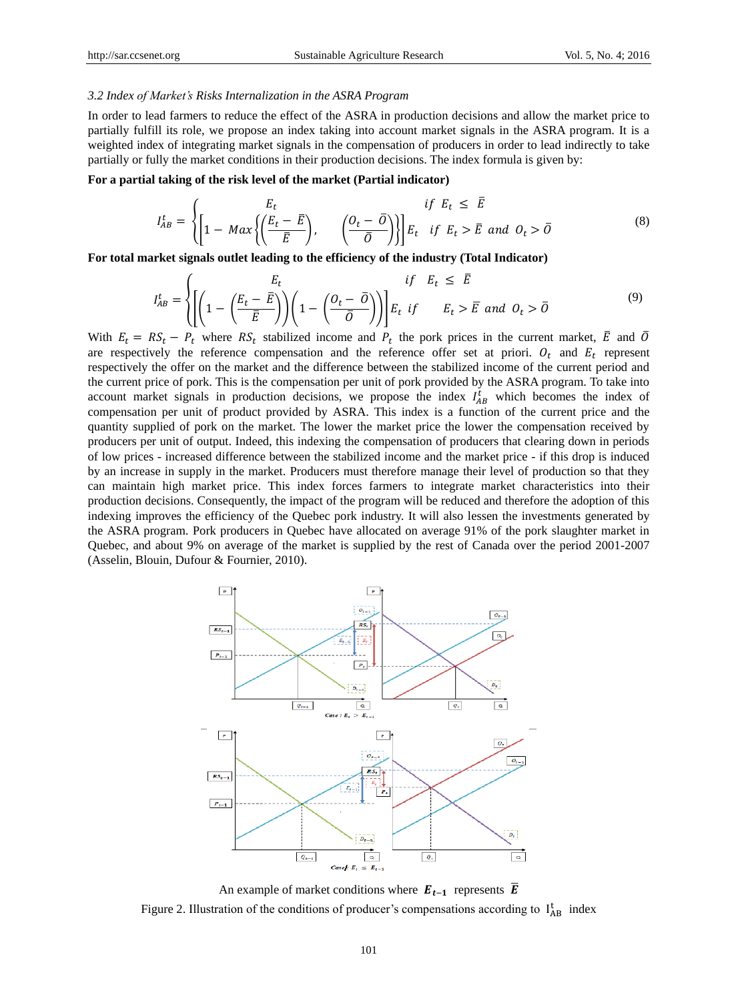### *3.2 Index of Market's Risks Internalization in the ASRA Program*

In order to lead farmers to reduce the effect of the ASRA in production decisions and allow the market price to partially fulfill its role, we propose an index taking into account market signals in the ASRA program. It is a weighted index of integrating market signals in the compensation of producers in order to lead indirectly to take partially or fully the market conditions in their production decisions. The index formula is given by:

### **For a partial taking of the risk level of the market (Partial indicator)**

$$
I_{AB}^t = \left\{ \begin{bmatrix} E_t & \text{if } E_t \leq \overline{E} \\ 1 - \text{Max} \left\{ \left( \frac{E_t - \overline{E}}{\overline{E}} \right), \quad \left( \frac{O_t - \overline{O}}{\overline{O}} \right) \right\} \end{bmatrix} E_t \quad \text{if } E_t > \overline{E} \text{ and } O_t > \overline{O} \end{bmatrix} \right\}
$$
\n
$$
(8)
$$

**For total market signals outlet leading to the efficiency of the industry (Total Indicator)**

$$
I_{AB}^t = \left\{ \left[ \left( 1 - \left( \frac{E_t - \bar{E}}{\bar{E}} \right) \right) \left( 1 - \left( \frac{O_t - \bar{O}}{\bar{O}} \right) \right) \right] E_t \text{ if } E_t > \bar{E} \text{ and } O_t > \bar{O} \right\} \tag{9}
$$

With  $E_t = RS_t - P_t$  where  $RS_t$  stabilized income and  $P_t$  the pork prices in the current market,  $\overline{E}$  and  $\overline{O}$ are respectively the reference compensation and the reference offer set at priori.  $O_t$  and  $E_t$  represent respectively the offer on the market and the difference between the stabilized income of the current period and the current price of pork. This is the compensation per unit of pork provided by the ASRA program. To take into account market signals in production decisions, we propose the index  $I_{AB}^t$  which becomes the index of compensation per unit of product provided by ASRA. This index is a function of the current price and the quantity supplied of pork on the market. The lower the market price the lower the compensation received by producers per unit of output. Indeed, this indexing the compensation of producers that clearing down in periods of low prices - increased difference between the stabilized income and the market price - if this drop is induced by an increase in supply in the market. Producers must therefore manage their level of production so that they can maintain high market price. This index forces farmers to integrate market characteristics into their production decisions. Consequently, the impact of the program will be reduced and therefore the adoption of this indexing improves the efficiency of the Quebec pork industry. It will also lessen the investments generated by the ASRA program. Pork producers in Quebec have allocated on average 91% of the pork slaughter market in Quebec, and about 9% on average of the market is supplied by the rest of Canada over the period 2001-2007 (Asselin, Blouin, Dufour & Fournier, 2010).



An example of market conditions where  $E_{t-1}$  represents  $\overline{E}$ 

Figure 2. Illustration of the conditions of producer's compensations according to  $I_{AB}^{t}$  index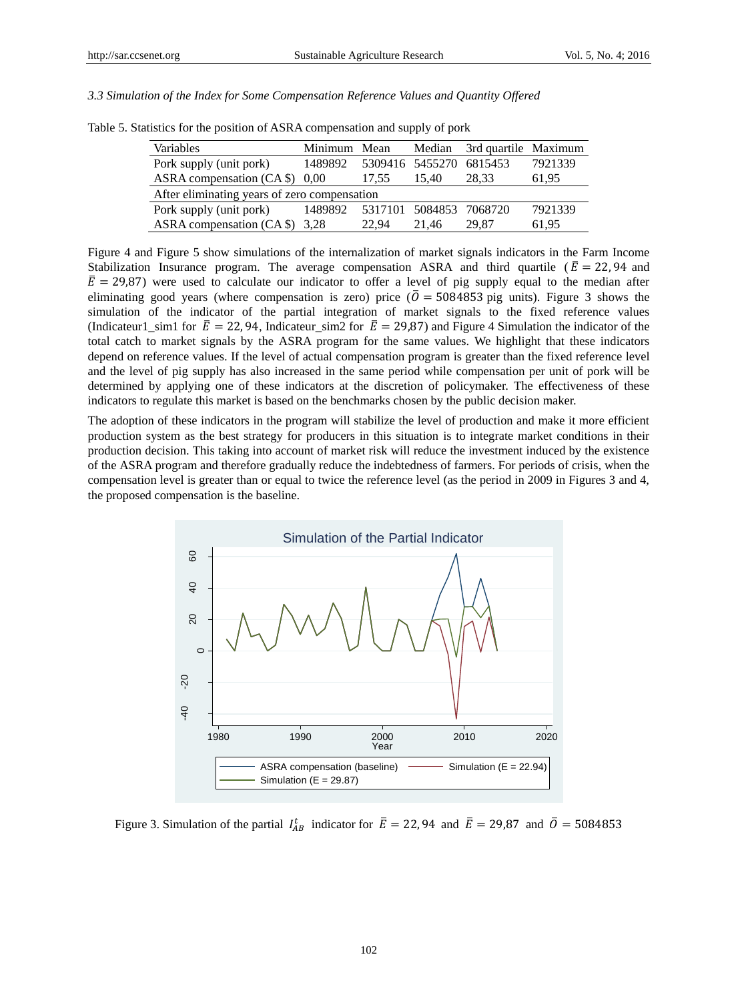### *3.3 Simulation of the Index for Some Compensation Reference Values and Quantity Offered*

| Variables                                    | Minimum Mean |       | Median                  | 3rd quartile Maximum |         |  |
|----------------------------------------------|--------------|-------|-------------------------|----------------------|---------|--|
| Pork supply (unit pork)                      | 1489892      |       | 5309416 5455270 6815453 |                      | 7921339 |  |
| ASRA compensation $(CA $) 0,00$              |              | 17.55 | 15.40                   | 28.33                | 61.95   |  |
| After eliminating years of zero compensation |              |       |                         |                      |         |  |
| Pork supply (unit pork)                      | 1489892      |       | 5317101 5084853 7068720 |                      | 7921339 |  |
| ASRA compensation $(CA \$                    | 3.28         | 22.94 | 21.46                   | 29.87                | 61.95   |  |

Figure 4 and Figure 5 show simulations of the internalization of market signals indicators in the Farm Income Stabilization Insurance program. The average compensation ASRA and third quartile ( $\overline{E} = 22.94$  and  $\bar{E} = 29.87$ ) were used to calculate our indicator to offer a level of pig supply equal to the median after eliminating good years (where compensation is zero) price ( $\overline{O}$  = 5084853 pig units). Figure 3 shows the simulation of the indicator of the partial integration of market signals to the fixed reference values (Indicateur1 sim1 for  $\bar{E} = 22, 94$ , Indicateur\_sim2 for  $\bar{E} = 29,87$ ) and Figure 4 Simulation the indicator of the total catch to market signals by the ASRA program for the same values. We highlight that these indicators depend on reference values. If the level of actual compensation program is greater than the fixed reference level and the level of pig supply has also increased in the same period while compensation per unit of pork will be determined by applying one of these indicators at the discretion of policymaker. The effectiveness of these indicators to regulate this market is based on the benchmarks chosen by the public decision maker.

The adoption of these indicators in the program will stabilize the level of production and make it more efficient production system as the best strategy for producers in this situation is to integrate market conditions in their production decision. This taking into account of market risk will reduce the investment induced by the existence of the ASRA program and therefore gradually reduce the indebtedness of farmers. For periods of crisis, when the compensation level is greater than or equal to twice the reference level (as the period in 2009 in Figures 3 and 4, the proposed compensation is the baseline.



Figure 3. Simulation of the partial  $I_{AB}^t$  indicator for  $\bar{E} = 22,94$  and  $\bar{E} = 29,87$  and  $\bar{O} = 5084853$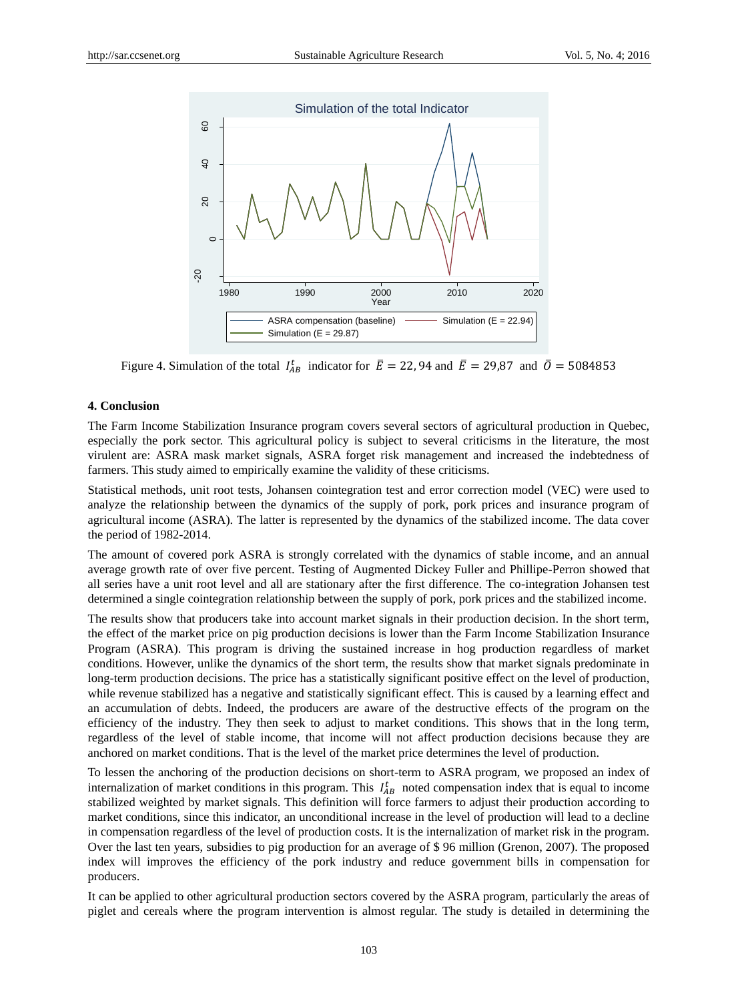

Figure 4. Simulation of the total  $I_{AB}^t$  indicator for  $\bar{E} = 22,94$  and  $\bar{E} = 29,87$  and  $\bar{O} = 5084853$ 

#### **4. Conclusion**

The Farm Income Stabilization Insurance program covers several sectors of agricultural production in Quebec, especially the pork sector. This agricultural policy is subject to several criticisms in the literature, the most virulent are: ASRA mask market signals, ASRA forget risk management and increased the indebtedness of farmers. This study aimed to empirically examine the validity of these criticisms.

Statistical methods, unit root tests, Johansen cointegration test and error correction model (VEC) were used to analyze the relationship between the dynamics of the supply of pork, pork prices and insurance program of agricultural income (ASRA). The latter is represented by the dynamics of the stabilized income. The data cover the period of 1982-2014.

The amount of covered pork ASRA is strongly correlated with the dynamics of stable income, and an annual average growth rate of over five percent. Testing of Augmented Dickey Fuller and Phillipe-Perron showed that all series have a unit root level and all are stationary after the first difference. The co-integration Johansen test determined a single cointegration relationship between the supply of pork, pork prices and the stabilized income.

The results show that producers take into account market signals in their production decision. In the short term, the effect of the market price on pig production decisions is lower than the Farm Income Stabilization Insurance Program (ASRA). This program is driving the sustained increase in hog production regardless of market conditions. However, unlike the dynamics of the short term, the results show that market signals predominate in long-term production decisions. The price has a statistically significant positive effect on the level of production, while revenue stabilized has a negative and statistically significant effect. This is caused by a learning effect and an accumulation of debts. Indeed, the producers are aware of the destructive effects of the program on the efficiency of the industry. They then seek to adjust to market conditions. This shows that in the long term, regardless of the level of stable income, that income will not affect production decisions because they are anchored on market conditions. That is the level of the market price determines the level of production.

To lessen the anchoring of the production decisions on short-term to ASRA program, we proposed an index of internalization of market conditions in this program. This  $I_{AB}^t$  noted compensation index that is equal to income stabilized weighted by market signals. This definition will force farmers to adjust their production according to market conditions, since this indicator, an unconditional increase in the level of production will lead to a decline in compensation regardless of the level of production costs. It is the internalization of market risk in the program. Over the last ten years, subsidies to pig production for an average of \$ 96 million (Grenon, 2007). The proposed index will improves the efficiency of the pork industry and reduce government bills in compensation for producers.

It can be applied to other agricultural production sectors covered by the ASRA program, particularly the areas of piglet and cereals where the program intervention is almost regular. The study is detailed in determining the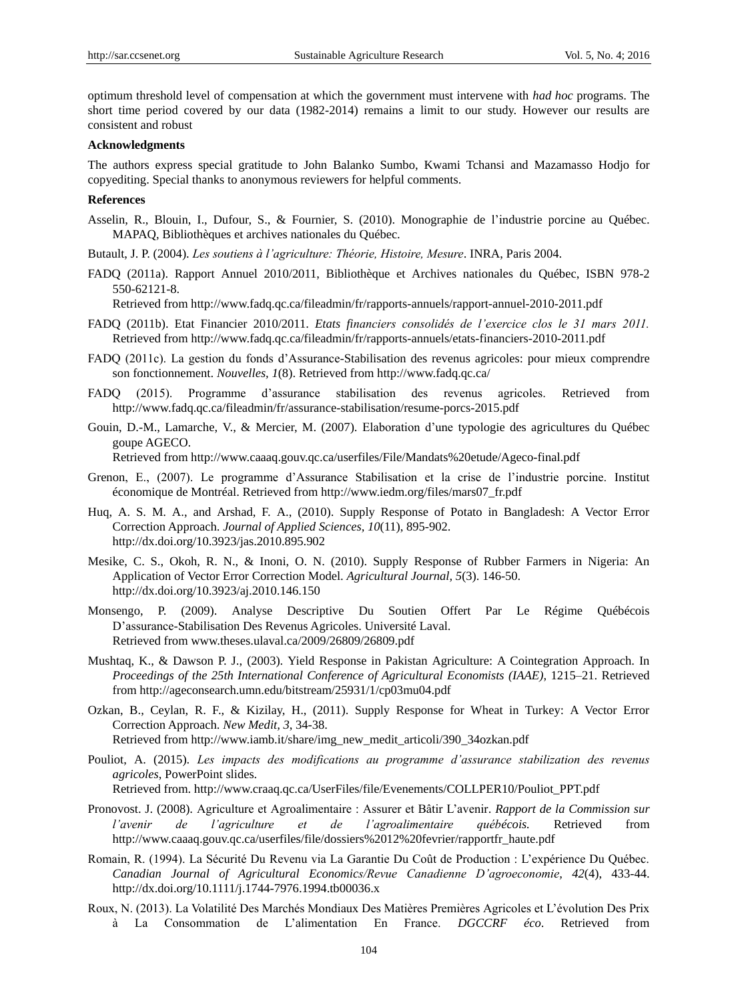optimum threshold level of compensation at which the government must intervene with *had hoc* programs. The short time period covered by our data (1982-2014) remains a limit to our study. However our results are consistent and robust

### **Acknowledgments**

The authors express special gratitude to John Balanko Sumbo, Kwami Tchansi and Mazamasso Hodjo for copyediting. Special thanks to anonymous reviewers for helpful comments.

### **References**

- Asselin, R., Blouin, I., Dufour, S., & Fournier, S. (2010). Monographie de l'industrie porcine au Québec. MAPAQ, Bibliothèques et archives nationales du Québec.
- Butault, J. P. (2004). *Les soutiens à l'agriculture: Théorie, Histoire, Mesure*. INRA, Paris 2004.
- FADQ (2011a). Rapport Annuel 2010/2011, Bibliothèque et Archives nationales du Québec, ISBN 978-2 550-62121-8.

Retrieved from http://www.fadq.qc.ca/fileadmin/fr/rapports-annuels/rapport-annuel-2010-2011.pdf

- FADQ (2011b). Etat Financier 2010/2011. *Etats financiers consolidés de l'exercice clos le 31 mars 2011.*  Retrieved from http://www.fadq.qc.ca/fileadmin/fr/rapports-annuels/etats-financiers-2010-2011.pdf
- FADQ (2011c). La gestion du fonds d'Assurance-Stabilisation des revenus agricoles: pour mieux comprendre son fonctionnement. *Nouvelles, 1*(8). Retrieved from http://www.fadq.qc.ca/
- FADQ (2015). Programme d'assurance stabilisation des revenus agricoles. Retrieved from http://www.fadq.qc.ca/fileadmin/fr/assurance-stabilisation/resume-porcs-2015.pdf
- Gouin, D.-M., Lamarche, V., & Mercier, M. (2007). Elaboration d'une typologie des agricultures du Québec goupe AGECO.

Retrieved from http://www.caaaq.gouv.qc.ca/userfiles/File/Mandats%20etude/Ageco-final.pdf

- Grenon, E., (2007). Le programme d'Assurance Stabilisation et la crise de l'industrie porcine. Institut économique de Montréal. Retrieved from http://www.iedm.org/files/mars07\_fr.pdf
- Huq, A. S. M. A., and Arshad, F. A., (2010). Supply Response of Potato in Bangladesh: A Vector Error Correction Approach. *Journal of Applied Sciences, 10*(11), 895-902. http://dx.doi.org/10.3923/jas.2010.895.902
- Mesike, C. S., Okoh, R. N., & Inoni, O. N. (2010). Supply Response of Rubber Farmers in Nigeria: An Application of Vector Error Correction Model. *Agricultural Journal, 5*(3). 146-50. http://dx.doi.org/10.3923/aj.2010.146.150
- Monsengo, P. (2009). Analyse Descriptive Du Soutien Offert Par Le Régime Québécois D'assurance-Stabilisation Des Revenus Agricoles. Université Laval. Retrieved from www.theses.ulaval.ca/2009/26809/26809.pdf
- Mushtaq, K., & Dawson P. J., (2003). Yield Response in Pakistan Agriculture: A Cointegration Approach. In *Proceedings of the 25th International Conference of Agricultural Economists (IAAE)*, 1215–21. Retrieved from http://ageconsearch.umn.edu/bitstream/25931/1/cp03mu04.pdf
- Ozkan, B., Ceylan, R. F., & Kizilay, H., (2011). Supply Response for Wheat in Turkey: A Vector Error Correction Approach. *New Medit, 3*, 34-38. Retrieved from http://www.iamb.it/share/img\_new\_medit\_articoli/390\_34ozkan.pdf
- Pouliot, A. (2015). *Les impacts des modifications au programme d'assurance stabilization des revenus agricoles*, PowerPoint slides.

Retrieved from. http://www.craaq.qc.ca/UserFiles/file/Evenements/COLLPER10/Pouliot\_PPT.pdf

- Pronovost. J. (2008). Agriculture et Agroalimentaire : Assurer et Bâtir L'avenir. *Rapport de la Commission sur l'avenir de l'agriculture et de l'agroalimentaire québécois.* Retrieved from http://www.caaaq.gouv.qc.ca/userfiles/file/dossiers%2012%20fevrier/rapportfr\_haute.pdf
- Romain, R. (1994). La Sécurité Du Revenu via La Garantie Du Coût de Production : L'expérience Du Québec. *Canadian Journal of Agricultural Economics/Revue Canadienne D'agroeconomie, 42*(4), 433-44. http://dx.doi.org/10.1111/j.1744-7976.1994.tb00036.x
- Roux, N. (2013). La Volatilité Des Marchés Mondiaux Des Matières Premières Agricoles et L'évolution Des Prix à La Consommation de L'alimentation En France. *DGCCRF éco*. Retrieved from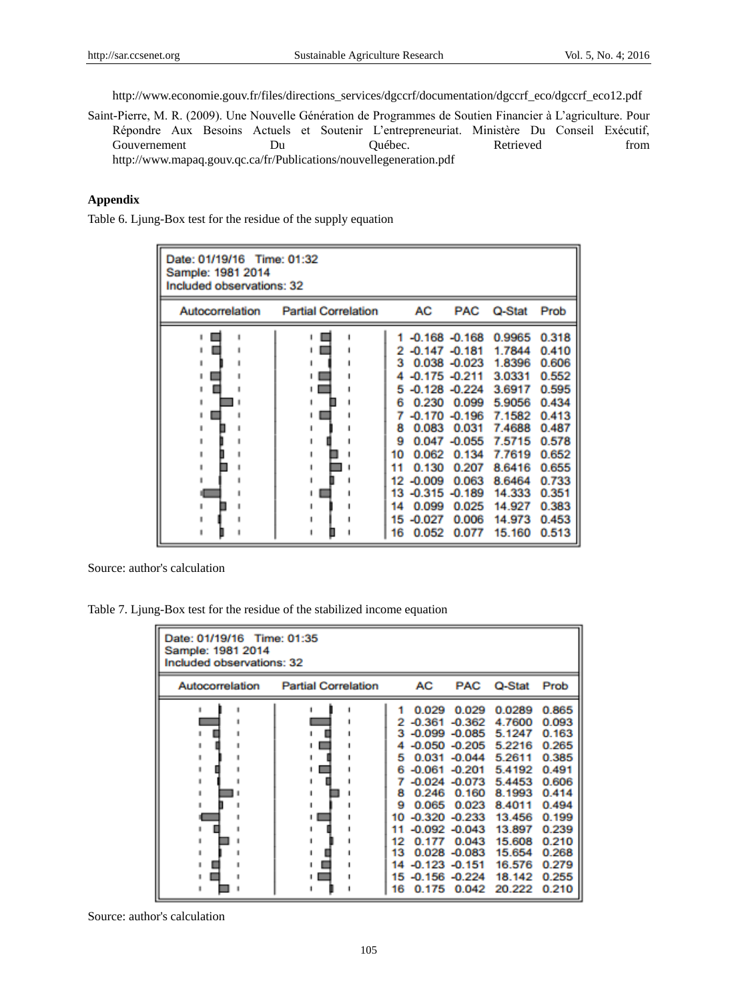http://www.economie.gouv.fr/files/directions\_services/dgccrf/documentation/dgccrf\_eco/dgccrf\_eco12.pdf

Saint-Pierre, M. R. (2009). Une Nouvelle Génération de Programmes de Soutien Financier à L'agriculture. Pour Répondre Aux Besoins Actuels et Soutenir L'entrepreneuriat. Ministère Du Conseil Exécutif, Gouvernement Du Québec. Retrieved from http://www.mapaq.gouv.qc.ca/fr/Publications/nouvellegeneration.pdf

## **Appendix**

Table 6. Ljung-Box test for the residue of the supply equation

| Date: 01/19/16 Time: 01:32<br>Sample: 1981 2014<br>Included observations: 32 |                            |                                                                                                                                                      |                                                                                                                                                                                   |                                                                                                                                          |                                                                                                                            |  |
|------------------------------------------------------------------------------|----------------------------|------------------------------------------------------------------------------------------------------------------------------------------------------|-----------------------------------------------------------------------------------------------------------------------------------------------------------------------------------|------------------------------------------------------------------------------------------------------------------------------------------|----------------------------------------------------------------------------------------------------------------------------|--|
| Autocorrelation                                                              | <b>Partial Correlation</b> | AC                                                                                                                                                   | <b>PAC</b>                                                                                                                                                                        | Q-Stat                                                                                                                                   | Prob                                                                                                                       |  |
| ٠<br>1                                                                       | 1<br>٠<br>٠                | з<br>$-0.128$<br>5<br>0.230<br>6<br>$-0.170$<br>0.083<br>я<br>0.047<br>я<br>10<br>0.062<br>0.130<br>11<br>12 -0.009<br>$-0.315$<br>13<br>0.099<br>14 | $-0.168 - 0.168$<br>$-0.147 - 0.181$<br>$0.038 - 0.023$<br>$-0.175 - 0.211$<br>$-0.224$<br>0.099<br>$-0.196$<br>0.031<br>$-0.055$<br>0.134<br>0.207<br>0.063<br>$-0.189$<br>0.025 | 0.9965<br>1.7844<br>1.8396<br>3.0331<br>3.6917<br>5.9056<br>7.1582<br>7.4688<br>7.5715<br>7.7619<br>8.6416<br>8.6464<br>14.333<br>14.927 | 0.318<br>0.410<br>0.606<br>0.552<br>0.595<br>0.434<br>0.413<br>0.487<br>0.578<br>0.652<br>0.655<br>0.733<br>0.351<br>0.383 |  |
|                                                                              |                            | $-0.027$<br>15<br>0.052<br>16                                                                                                                        | 0.006<br>0.077                                                                                                                                                                    | 14.973<br>15.160                                                                                                                         | 0.453<br>0.513                                                                                                             |  |

Source: author's calculation

Table 7. Ljung-Box test for the residue of the stabilized income equation

| Date: 01/19/16 Time: 01:35<br>Sample: 1981 2014<br>Included observations: 32 |                            |                                                                                                                                                       |                                                                                                                                                                                                                               |                                                                                                                                                              |                                                                                                                                              |  |  |
|------------------------------------------------------------------------------|----------------------------|-------------------------------------------------------------------------------------------------------------------------------------------------------|-------------------------------------------------------------------------------------------------------------------------------------------------------------------------------------------------------------------------------|--------------------------------------------------------------------------------------------------------------------------------------------------------------|----------------------------------------------------------------------------------------------------------------------------------------------|--|--|
| Autocorrelation                                                              | <b>Partial Correlation</b> | AC                                                                                                                                                    | <b>PAC</b>                                                                                                                                                                                                                    | Q-Stat                                                                                                                                                       | Prob                                                                                                                                         |  |  |
|                                                                              |                            | 0.029<br>$-0.361$<br>з<br>0.031<br>5<br>в<br>0.246<br>8<br>0.065<br>9<br>10<br>11<br>0.177<br>12<br>13<br>$-0.123 - 0.151$<br>14<br>15<br>16<br>0.175 | 0.029<br>$-0.362$<br>$-0.099 - 0.085$<br>$-0.050 -0.205$<br>$-0.044$<br>$-0.061 - 0.201$<br>$-0.024 - 0.073$<br>0.160<br>0.023<br>$-0.320 -0.233$<br>$-0.092 -0.043$<br>0.043<br>$0.028 - 0.083$<br>$-0.156 - 0.224$<br>0.042 | 0.0289<br>4.7600<br>5.1247<br>5.2216<br>5.2611<br>5.4192<br>5.4453<br>8.1993<br>8.4011<br>13.456<br>13.897<br>15.608<br>15.654<br>16,576<br>18.142<br>20,222 | 0.865<br>0.093<br>0.163<br>0.265<br>0.385<br>0.491<br>0.606<br>0.414<br>0.494<br>0.199<br>0.239<br>0.210<br>0.268<br>0.279<br>0.255<br>0.210 |  |  |

Source: author's calculation